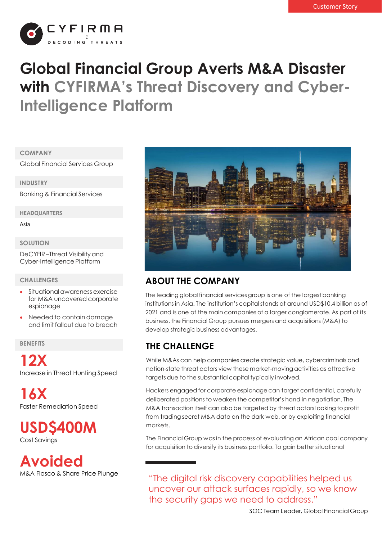

# **Global Financial Group Averts M&A Disaster with CYFIRMA's Threat Discovery and Cyber-Intelligence Platform**

#### **COMPANY**

Global Financial Services Group

**INDUSTRY**

Banking & Financial Services

**HEADQUARTERS**

Asia

#### **SOLUTION**

DeCYFIR –Threat Visibility and Cyber-Intelligence Platform

#### **CHALLENGES**

- Situational awareness exercise for M&A uncovered corporate espionage
- Needed to contain damage and limit fallout due to breach

**BENEFITS**

**12X** Increase in Threat Hunting Speed

**16X** Faster Remediation Speed

**USD\$400M** Cost Savings

**Avoided** M&A Fiasco & Share Price Plunge



# **ABOUT THE COMPANY**

The leading global financial services group is one of the largest banking institutions in Asia. The institution's capital stands at around USD\$10.4 billion as of 2021 and is one of the main companies of a larger conglomerate. As part of its business, the Financial Group pursues mergers and acquisitions (M&A) to develop strategic business advantages.

# **THE CHALLENGE**

While M&As can help companies create strategic value, cybercriminals and nation-state threat actors view these market-moving activities as attractive targets due to the substantial capital typically involved.

Hackers engaged for corporate espionage can target confidential, carefully deliberated positions to weaken the competitor's hand in negotiation. The M&A transaction itself can also be targeted by threat actors looking to profit from trading secret M&A data on the dark web, or by exploiting financial markets.

The Financial Group was in the process of evaluating an African coal company for acquisition to diversify its business portfolio. To gain better situational

"The digital risk discovery capabilities helped us uncover our attack surfaces rapidly, so we know the security gaps we need to address."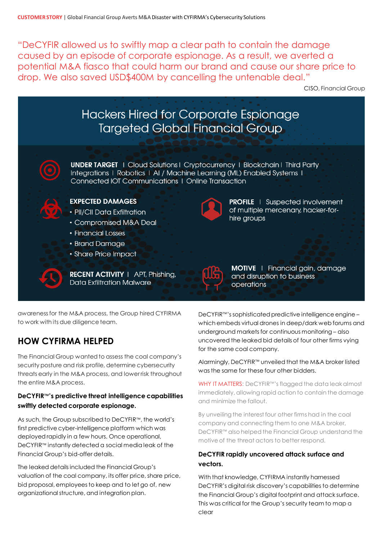"DeCYFIR allowed us to swiftly map a clear path to contain the damage caused by an episode of corporate espionage. As a result, we averted a potential M&A fiasco that could harm our brand and cause our share price to drop. We also saved USD\$400M by cancelling the untenable deal."

CISO, Financial Group



awareness for the M&A process, the Group hired CYFIRMA to work with its due diligence team.

# **HOW CYFIRMA HELPED**

The Financial Group wanted to assess the coal company's security posture and risk profile, determine cybersecurity threats early in the M&A process, and lower risk throughout the entire M&A process.

### **DeCYFIR™'s predictive threat intelligence capabilities swiftly detected corporate espionage.**

As such, the Group subscribed to DeCYFIR™, the world's first predictive cyber-intelligence platform which was deployed rapidly in a few hours. Once operational, DeCYFIR™ instantly detected a social media leak of the Financial Group's bid-offer details.

The leaked details included the Financial Group's valuation of the coal company, its offer price, share price, bid proposal, employees to keep and to let go of, new organizational structure, and integration plan.

DeCYFIR™'ssophisticated predictive intelligence engine – which embeds virtual drones in deep/dark web forums and underground markets for continuous monitoring – also uncovered the leaked bid details of four other firms vying for the same coal company.

### Alarmingly, DeCYFIR™ unveiled that the M&A broker listed was the same for these four other bidders.

WHY IT MATTERS: DeCYFIR™'s flagged the data leak almost immediately, allowing rapid action to contain the damage and minimize the fallout.

By unveiling the interest four other firms had in the coal company and connecting them to one M&A broker, DeCYFIR™ also helped the Financial Group understand the motive of the threat actors to better respond.

### **DeCYFIR rapidly uncovered attack surface and vectors.**

With that knowledge, CYFIRMA instantly harnessed DeCYFIR's digital risk discovery's capabilities to determine the Financial Group's digital footprint and attack surface. This was critical for the Group's security team to map a clear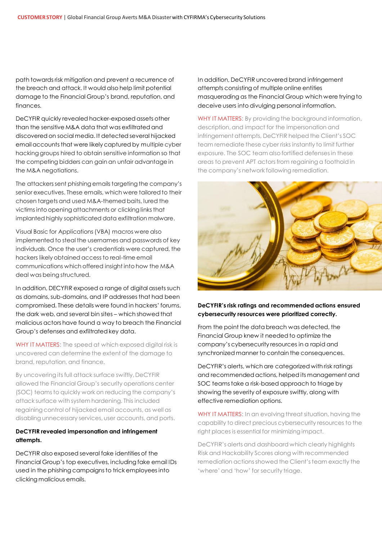path towards risk mitigation and prevent a recurrence of the breach and attack. It would also help limit potential damage to the Financial Group's brand, reputation, and finances.

DeCYFIR quickly revealed hacker-exposed assets other than the sensitive M&A data that was exfiltrated and discovered on social media. It detected several hijacked email accounts that were likely captured by multiple cyber hacking groups hired to obtain sensitive information so that the competing bidders can gain an unfair advantage in the M&A negotiations.

The attackers sent phishing emails targeting the company's senior executives. These emails, which were tailored to their chosen targets and used M&A-themed baits, lured the victims into opening attachments or clicking links that implanted highly sophisticated data exfiltration malware.

Visual Basic for Applications (VBA) macros were also implemented to steal the usernames and passwords of key individuals. Once the user's credentials were captured, the hackers likely obtained access to real-time email communications which offered insight into how the M&A deal was being structured.

In addition, DECYFIR exposed a range of digital assets such as domains, sub-domains, and IP addresses that had been compromised. These details were found in hackers' forums, the dark web, and several bin sites – which showed that malicious actors have found a way to breach the Financial Group's defenses and exfiltrated key data.

WHY IT MATTERS: The speed at which exposed digital risk is uncovered can determine the extent of the damage to brand, reputation, and finance.

By uncovering its full attack surface swiftly, DeCYFIR allowed the Financial Group's security operations center (SOC) teams to quickly work on reducing the company's attack surface with system hardening. This included regaining control of hijacked email accounts, as well as disabling unnecessary services, user accounts, and ports.

#### **DeCYFIR revealed impersonation and infringement attempts.**

DeCYFIR also exposed several fake identities of the Financial Group's top executives, including fake email IDs used in the phishing campaigns to trick employees into clicking malicious emails.

In addition, DeCYFIR uncovered brand infringement attempts consisting of multiple online entities masquerading as the Financial Group which were trying to deceive users into divulging personal information.

WHY IT MATTERS: By providing the background information, description, and impact for the impersonation and infringement attempts, DeCYFIR helped the Client's SOC team remediate these cyber risks instantly to limit further exposure. The SOC team also fortified defenses in these areas to prevent APT actors from regaining a foothold in the company's network following remediation.



#### **DeCYFIR's risk ratings and recommended actions ensured cybersecurity resources were prioritized correctly.**

From the point the data breach was detected, the Financial Group knew it needed to optimize the company's cybersecurity resources in a rapid and synchronized manner to contain the consequences.

DeCYFIR's alerts, which are categorized with risk ratings and recommended actions, helped its management and SOC teams take a risk-based approach to triage by showing the severity of exposure swiftly, along with effective remediation options.

WHY IT MATTERS: In an evolving threat situation, having the capability to direct precious cybersecurity resources to the right places is essential for minimizing impact.

DeCYFIR's alerts and dashboard which clearly highlights Risk and Hackability Scores along with recommended remediation actions showed the Client's team exactly the 'where' and 'how' for security triage.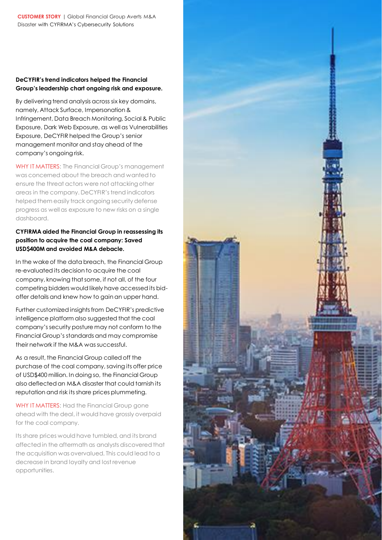### **DeCYFIR's trend indicators helped the Financial Group's leadership chart ongoing risk and exposure.**

By delivering trend analysis across six key domains, namely, Attack Surface, Impersonation & Infringement, Data Breach Monitoring, Social & Public Exposure, Dark Web Exposure, as well as Vulnerabilities Exposure, DeCYFIR helped the Group's senior management monitor and stay ahead of the company's ongoing risk.

WHY IT MATTERS: The Financial Group's management was concerned about the breach and wanted to ensure the threat actors were not attacking other areas in the company. DeCYFIR's trend indicators helped them easily track ongoing security defense progress as well as exposure to new risks on a single dashboard.

### **CYFIRMA aided the Financial Group in reassessing its position to acquire the coal company: Saved USD\$400M and avoided M&A debacle.**

In the wake of the data breach, the Financial Group re-evaluated its decision to acquire the coal company, knowing that some, if not all, of the four competing bidders would likely have accessed its bidoffer details and knew how to gain an upper hand.

Further customized insights from DeCYFIR's predictive intelligence platform also suggested that the coal company's security posture may not conform to the Financial Group's standards and may compromise their network if the M&A was successful.

As a result, the Financial Group called off the purchase of the coal company, saving its offer price of USD\$400 million. In doing so, the Financial Group also deflected an M&A disaster that could tarnish its reputation and risk its share prices plummeting.

WHY IT MATTERS: Had the Financial Group gone ahead with the deal, it would have grossly overpaid for the coal company.

Its share prices would have tumbled, and its brand affected in the aftermath as analysts discovered that the acquisition was overvalued. This could lead to a decrease in brand loyalty and lost revenue opportunities.

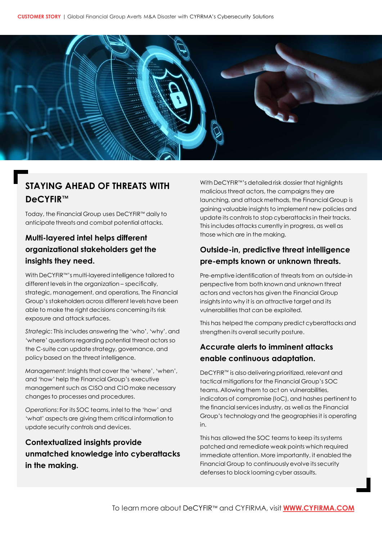

# **STAYING AHEAD OF THREATS WITH DeCYFIR™**

Today, the Financial Group uses DeCYFIR™ daily to anticipate threats and combat potential attacks.

# **Multi-layered intel helps different organizational stakeholders get the insights they need.**

With DeCYFIR™'s multi-layered intelligence tailored to different levels in the organization – specifically, strategic, management, and operations, The Financial Group's stakeholders across different levels have been able to make the right decisions concerning its risk exposure and attack surfaces.

*Strategic*: This includes answering the 'who', 'why', and 'where' questions regarding potential threat actors so the C-suite can update strategy, governance, and policy based on the threat intelligence.

*Management*: Insights that cover the 'where', 'when', and 'how' help the Financial Group's executive management such as CISO and CIO make necessary changes to processes and procedures.

*Operations*: For its SOC teams, intel to the 'how' and 'what' aspects are giving them critical information to update security controls and devices.

**Contextualized insights provide unmatched knowledge into cyberattacks in the making.**

With DeCYFIR™'s detailed risk dossier that highlights malicious threat actors, the campaigns they are launching, and attack methods, the Financial Group is gaining valuable insights to implement new policies and update its controls to stop cyberattacks in their tracks. This includes attacks currently in progress, as well as those which are in the making.

### **Outside-in, predictive threat intelligence pre-empts known or unknown threats.**

Pre-emptive identification of threats from an outside-in perspective from both known and unknown threat actors and vectors has given the Financial Group insights into why it is an attractive target and its vulnerabilities that can be exploited.

This has helped the company predict cyberattacks and strengthen its overall security posture.

### **Accurate alerts to imminent attacks enable continuous adaptation.**

DeCYFIR™ is also delivering prioritized, relevant and tactical mitigations for the Financial Group's SOC teams. Allowing them to act on vulnerabilities, indicators of compromise (IoC), and hashes pertinent to the financial services industry, as well as the Financial Group's technology and the geographies it is operating in.

This has allowed the SOC teams to keep its systems patched and remediate weak points which required immediate attention. More importantly, it enabled the Financial Group to continuously evolve its security defenses to block looming cyber assaults.